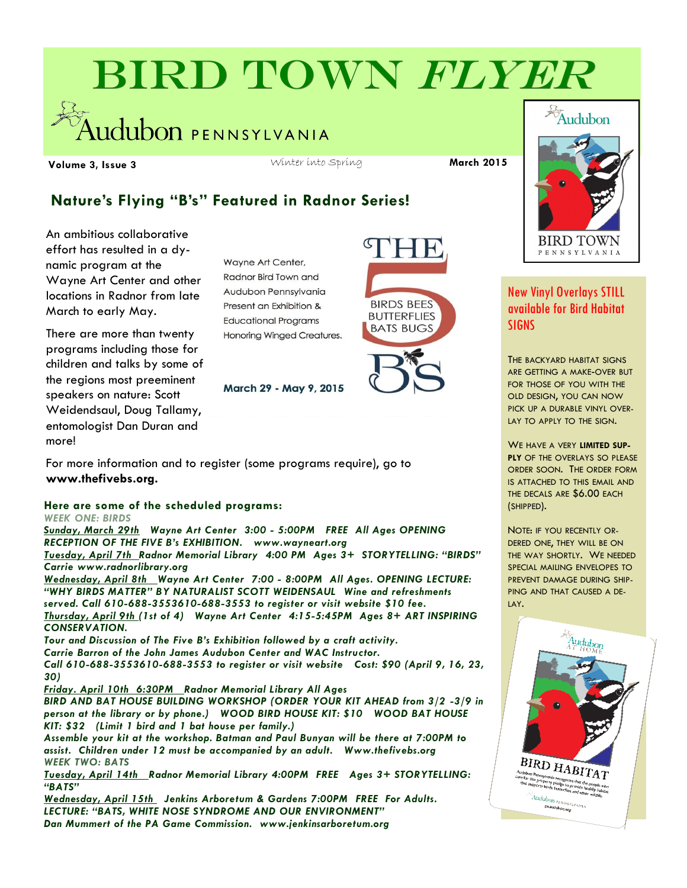# BIRD TOWN FLYER

udubon PENNSYLVANIA

**Volume 3, Issue 3 March 2015** Winter into Spring **March 2015** Winter into Spring

## **Nature's Flying "B's" Featured in Radnor Series!**

An ambitious collaborative effort has resulted in a dynamic program at the Wayne Art Center and other locations in Radnor from late March to early May.

There are more than twenty programs including those for children and talks by some of the regions most preeminent speakers on nature: Scott Weidendsaul, Doug Tallamy, entomologist Dan Duran and more!

Wayne Art Center, Radnor Bird Town and Audubon Pennsylvania Present an Exhibition & **Educational Programs** Honoring Winged Creatures.

March 29 - May 9, 2015





## New Vinyl Overlays STILL available for Bird Habitat SIGNS

THE BACKYARD HABITAT SIGNS ARE GETTING A MAKE-OVER BUT FOR THOSE OF YOU WITH THE OLD DESIGN, YOU CAN NOW PICK UP A DURABLE VINYL OVER-LAY TO APPLY TO THE SIGN.

WE HAVE A VERY **LIMITED SUP-PLY** OF THE OVERLAYS SO PLEASE ORDER SOON. THE ORDER FORM IS ATTACHED TO THIS EMAIL AND THE DECALS ARE \$6.00 EACH (SHIPPED).

NOTE: IF YOU RECENTLY OR-DERED ONE, THEY WILL BE ON THE WAY SHORTLY. WE NEEDED SPECIAL MAILING ENVELOPES TO PREVENT DAMAGE DURING SHIP-PING AND THAT CAUSED A DE-LAY.



For more information and to register (some programs require), go to **www.thefivebs.org.**

#### **Here are some of the scheduled programs:** *WEEK ONE: BIRDS*

*Sunday, March 29th Wayne Art Center 3:00 - 5:00PM FREE All Ages OPENING RECEPTION OF THE FIVE B's EXHIBITION. www.wayneart.org Tuesday, April 7th Radnor Memorial Library 4:00 PM Ages 3+ STORYTELLING: "BIRDS" Carrie www.radnorlibrary.org Wednesday, April 8th Wayne Art Center 7:00 - 8:00PM All Ages. OPENING LECTURE: "WHY BIRDS MATTER" BY NATURALIST SCOTT WEIDENSAUL Wine and refreshments served. Call 610-688-3553610-688-3553 to register or visit website \$10 fee. Thursday, April 9th (1st of 4) Wayne Art Center 4:15-5:45PM Ages 8+ ART INSPIRING CONSERVATION. Tour and Discussion of The Five B's Exhibition followed by a craft activity. Carrie Barron of the John James Audubon Center and WAC Instructor. Call 610-688-3553610-688-3553 to register or visit website Cost: \$90 (April 9, 16, 23, 30) Friday. April 10th 6:30PM Radnor Memorial Library All Ages BIRD AND BAT HOUSE BUILDING WORKSHOP (ORDER YOUR KIT AHEAD from 3/2 -3/9 in person at the library or by phone.) WOOD BIRD HOUSE KIT: \$10 WOOD BAT HOUSE KIT: \$32 (Limit 1 bird and 1 bat house per family.) Assemble your kit at the workshop. Batman and Paul Bunyan will be there at 7:00PM to assist. Children under 12 must be accompanied by an adult. Www.thefivebs.org WEEK TWO: BATS Tuesday, April 14th Radnor Memorial Library 4:00PM FREE Ages 3+ STORYTELLING: "BATS" Wednesday, April 15th Jenkins Arboretum & Gardens 7:00PM FREE For Adults. LECTURE: "BATS, WHITE NOSE SYNDROME AND OUR ENVIRONMENT"* 

*Dan Mummert of the PA Game Commission. www.jenkinsarboretum.org*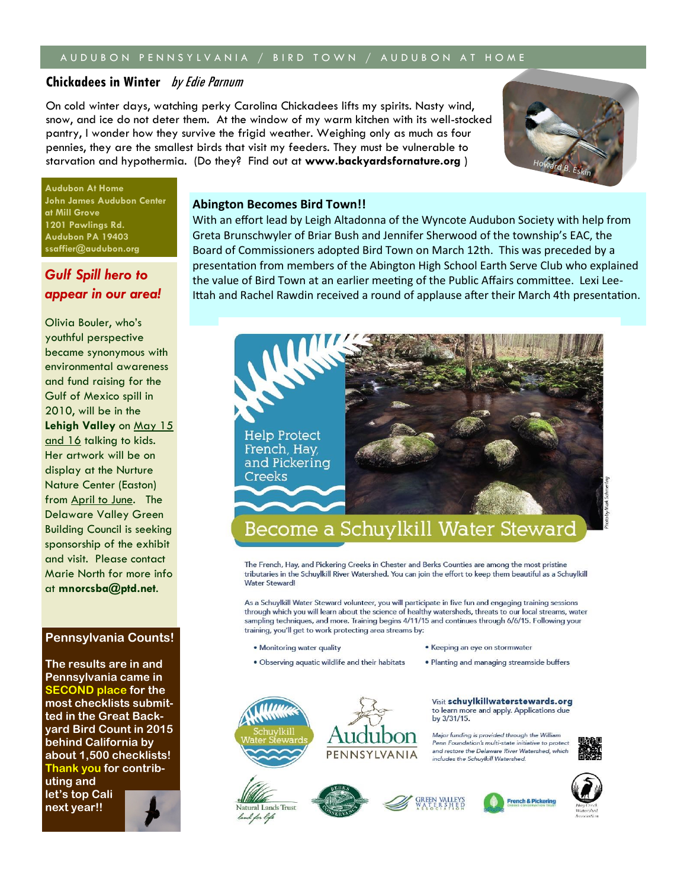#### A U D U B O N P E N N S Y L V A N I A / B I R D T O W N / A U D U B O N A T H O M E

### **Chickadees in Winter** by Edie Parnum

On cold winter days, watching perky Carolina Chickadees lifts my spirits. Nasty wind, snow, and ice do not deter them. At the window of my warm kitchen with its well-stocked pantry, I wonder how they survive the frigid weather. Weighing only as much as four pennies, they are the smallest birds that visit my feeders. They must be vulnerable to starvation and hypothermia. (Do they? Find out at **www.backyardsfornature.org** )



**Audubon At Home John James Audubon Center at Mill Grove 1201 Pawlings Rd. Audubon PA 19403 ssaffier@audubon.org** 

## *Gulf Spill hero to appear in our area!*

Olivia Bouler, who's youthful perspective became synonymous with environmental awareness and fund raising for the Gulf of Mexico spill in 2010, will be in the **Lehigh Valley** on May 15 and 16 talking to kids. Her artwork will be on display at the Nurture Nature Center (Easton) from April to June. The Delaware Valley Green Building Council is seeking sponsorship of the exhibit and visit. Please contact Marie North for more info at **mnorcsba@ptd.net**.

#### **Pennsylvania Counts!**

**The results are in and Pennsylvania came in SECOND place for the most checklists submitted in the Great Backyard Bird Count in 2015 behind California by about 1,500 checklists! Thank you for contrib-**

**uting and let's top Cali next year!!**



#### **Abington Becomes Bird Town!!**

With an effort lead by Leigh Altadonna of the Wyncote Audubon Society with help from Greta Brunschwyler of Briar Bush and Jennifer Sherwood of the township's EAC, the Board of Commissioners adopted Bird Town on March 12th. This was preceded by a presentation from members of the Abington High School Earth Serve Club who explained the value of Bird Town at an earlier meeting of the Public Affairs committee. Lexi Lee-Ittah and Rachel Rawdin received a round of applause after their March 4th presentation.



The French, Hay, and Pickering Creeks in Chester and Berks Counties are among the most pristine tributaries in the Schuylkill River Watershed. You can join the effort to keep them beautiful as a Schuylkill Water Steward!

As a Schuylkill Water Steward volunteer, you will participate in five fun and engaging training sessions through which you will learn about the science of healthy watersheds, threats to our local streams, water sampling techniques, and more. Training begins 4/11/15 and continues through 6/6/15. Following your training, you'll get to work protecting area streams by:

. Monitoring water quality

Natural Lands Trust land for life

· Observing aquatic wildlife and their habitats

• Keeping an eye on stormwater

· Planting and managing streamside buffers

Visit schuylkillwaterstewards.org to learn more and apply. Applications due by 3/31/15.

Major funding is provided through the William Penn Foundation's multi-state initiative to prote and restore the Delaware River Watershed which includes the Schuylkill Watershed.



**French & Pickerin**